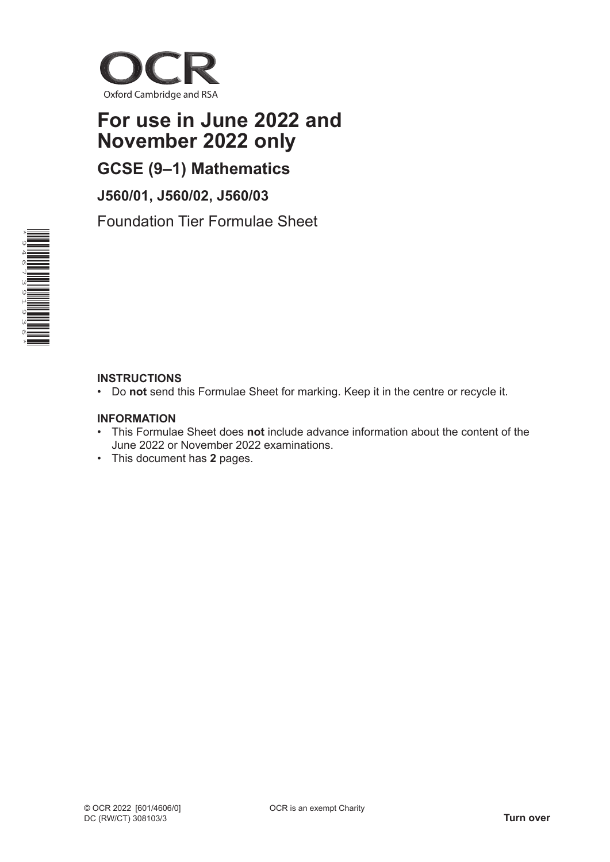

# **For use in June 2022 and November 2022 only**

**GCSE (9–1) Mathematics**

**J560/01, J560/02, J560/03**

Foundation Tier Formulae Sheet



## **INSTRUCTIONS**

• Do **not** send this Formulae Sheet for marking. Keep it in the centre or recycle it.

### **INFORMATION**

- This Formulae Sheet does **not** include advance information about the content of the June 2022 or November 2022 examinations.
- This document has **2** pages.